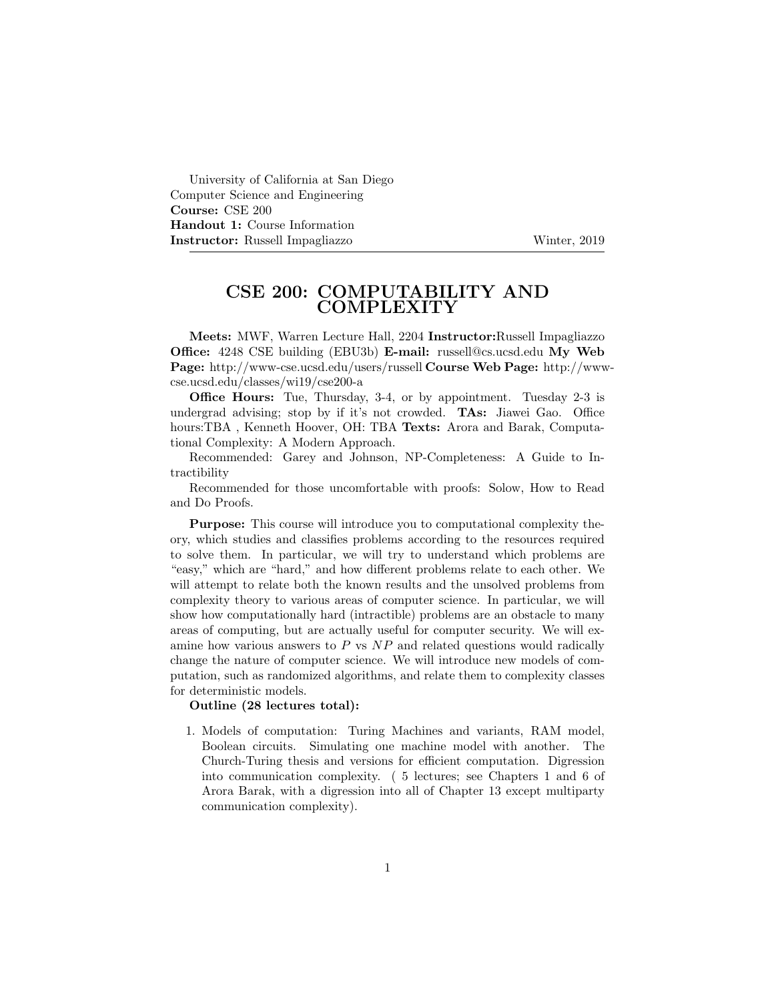University of California at San Diego Computer Science and Engineering Course: CSE 200 Handout 1: Course Information Instructor: Russell Impagliazzo Winter, 2019

## CSE 200: COMPUTABILITY AND COMPLEXITY

Meets: MWF, Warren Lecture Hall, 2204 Instructor:Russell Impagliazzo Office: 4248 CSE building (EBU3b) E-mail: russell@cs.ucsd.edu My Web Page: http://www-cse.ucsd.edu/users/russell Course Web Page: http://wwwcse.ucsd.edu/classes/wi19/cse200-a

Office Hours: Tue, Thursday, 3-4, or by appointment. Tuesday 2-3 is undergrad advising; stop by if it's not crowded. TAs: Jiawei Gao. Office hours:TBA, Kenneth Hoover, OH: TBA Texts: Arora and Barak, Computational Complexity: A Modern Approach.

Recommended: Garey and Johnson, NP-Completeness: A Guide to Intractibility

Recommended for those uncomfortable with proofs: Solow, How to Read and Do Proofs.

Purpose: This course will introduce you to computational complexity theory, which studies and classifies problems according to the resources required to solve them. In particular, we will try to understand which problems are "easy," which are "hard," and how different problems relate to each other. We will attempt to relate both the known results and the unsolved problems from complexity theory to various areas of computer science. In particular, we will show how computationally hard (intractible) problems are an obstacle to many areas of computing, but are actually useful for computer security. We will examine how various answers to  $P$  vs  $NP$  and related questions would radically change the nature of computer science. We will introduce new models of computation, such as randomized algorithms, and relate them to complexity classes for deterministic models.

## Outline (28 lectures total):

1. Models of computation: Turing Machines and variants, RAM model, Boolean circuits. Simulating one machine model with another. The Church-Turing thesis and versions for efficient computation. Digression into communication complexity. ( 5 lectures; see Chapters 1 and 6 of Arora Barak, with a digression into all of Chapter 13 except multiparty communication complexity).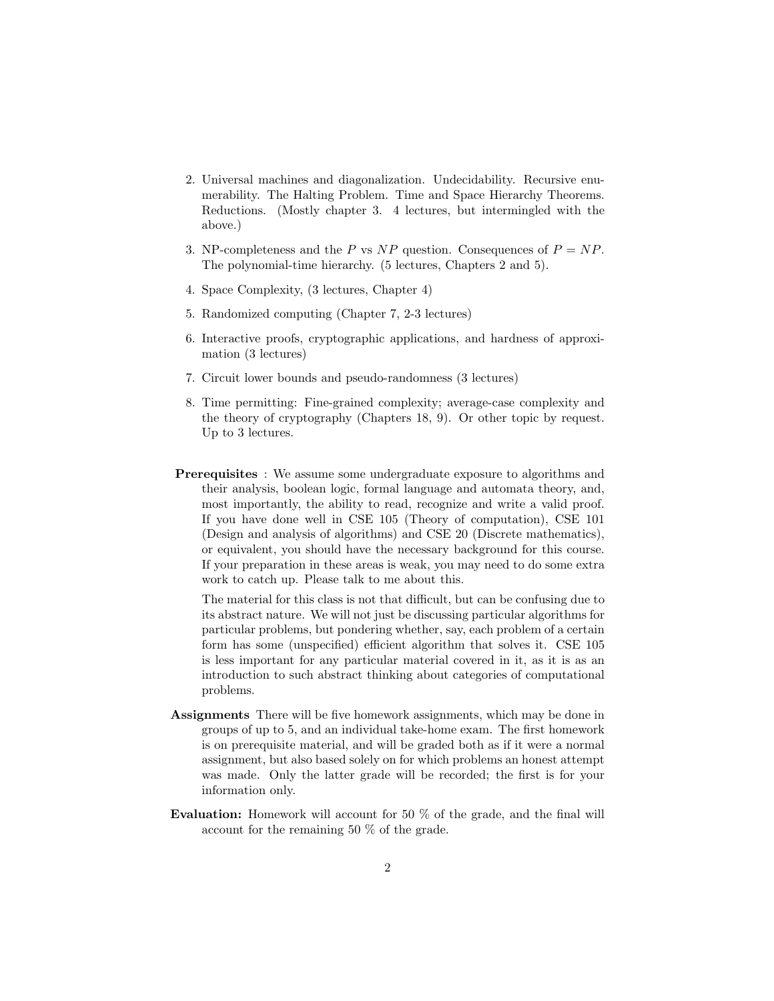- 2. Universal machines and diagonalization. Undecidability. Recursive enumerability. The Halting Problem. Time and Space Hierarchy Theorems. Reductions. (Mostly chapter 3. 4 lectures, but intermingled with the above.)
- 3. NP-completeness and the P vs NP question. Consequences of  $P = NP$ . The polynomial-time hierarchy. (5 lectures, Chapters 2 and 5).
- 4. Space Complexity, (3 lectures, Chapter 4)
- 5. Randomized computing (Chapter 7, 2-3 lectures)
- 6. Interactive proofs, cryptographic applications, and hardness of approximation (3 lectures)
- 7. Circuit lower bounds and pseudo-randomness (3 lectures)
- 8. Time permitting: Fine-grained complexity; average-case complexity and the theory of cryptography (Chapters 18, 9). Or other topic by request. Up to 3 lectures.
- **Prerequisites** : We assume some undergraduate exposure to algorithms and their analysis, boolean logic, formal language and automata theory, and, most importantly, the ability to read, recognize and write a valid proof. If you have done well in CSE 105 (Theory of computation), CSE 101 (Design and analysis of algorithms) and CSE 20 (Discrete mathematics), or equivalent, you should have the necessary background for this course. If your preparation in these areas is weak, you may need to do some extra work to catch up. Please talk to me about this.

The material for this class is not that difficult, but can be confusing due to its abstract nature. We will not just be discussing particular algorithms for particular problems, but pondering whether, say, each problem of a certain form has some (unspecified) efficient algorithm that solves it. CSE 105 is less important for any particular material covered in it, as it is as an introduction to such abstract thinking about categories of computational problems.

- Assignments There will be five homework assignments, which may be done in groups of up to 5, and an individual take-home exam. The first homework is on prerequisite material, and will be graded both as if it were a normal assignment, but also based solely on for which problems an honest attempt was made. Only the latter grade will be recorded; the first is for your information only.
- Evaluation: Homework will account for 50 % of the grade, and the final will account for the remaining 50 % of the grade.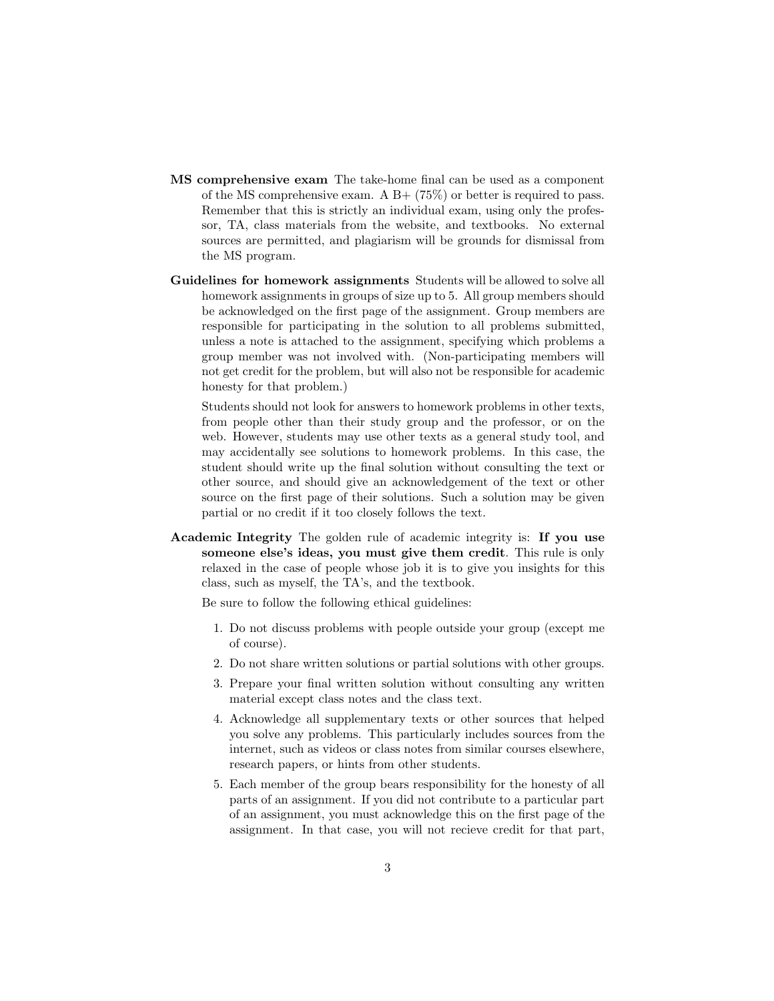- MS comprehensive exam The take-home final can be used as a component of the MS comprehensive exam. A  $B+$  (75%) or better is required to pass. Remember that this is strictly an individual exam, using only the professor, TA, class materials from the website, and textbooks. No external sources are permitted, and plagiarism will be grounds for dismissal from the MS program.
- Guidelines for homework assignments Students will be allowed to solve all homework assignments in groups of size up to 5. All group members should be acknowledged on the first page of the assignment. Group members are responsible for participating in the solution to all problems submitted, unless a note is attached to the assignment, specifying which problems a group member was not involved with. (Non-participating members will not get credit for the problem, but will also not be responsible for academic honesty for that problem.)

Students should not look for answers to homework problems in other texts, from people other than their study group and the professor, or on the web. However, students may use other texts as a general study tool, and may accidentally see solutions to homework problems. In this case, the student should write up the final solution without consulting the text or other source, and should give an acknowledgement of the text or other source on the first page of their solutions. Such a solution may be given partial or no credit if it too closely follows the text.

Academic Integrity The golden rule of academic integrity is: If you use someone else's ideas, you must give them credit. This rule is only relaxed in the case of people whose job it is to give you insights for this class, such as myself, the TA's, and the textbook.

Be sure to follow the following ethical guidelines:

- 1. Do not discuss problems with people outside your group (except me of course).
- 2. Do not share written solutions or partial solutions with other groups.
- 3. Prepare your final written solution without consulting any written material except class notes and the class text.
- 4. Acknowledge all supplementary texts or other sources that helped you solve any problems. This particularly includes sources from the internet, such as videos or class notes from similar courses elsewhere, research papers, or hints from other students.
- 5. Each member of the group bears responsibility for the honesty of all parts of an assignment. If you did not contribute to a particular part of an assignment, you must acknowledge this on the first page of the assignment. In that case, you will not recieve credit for that part,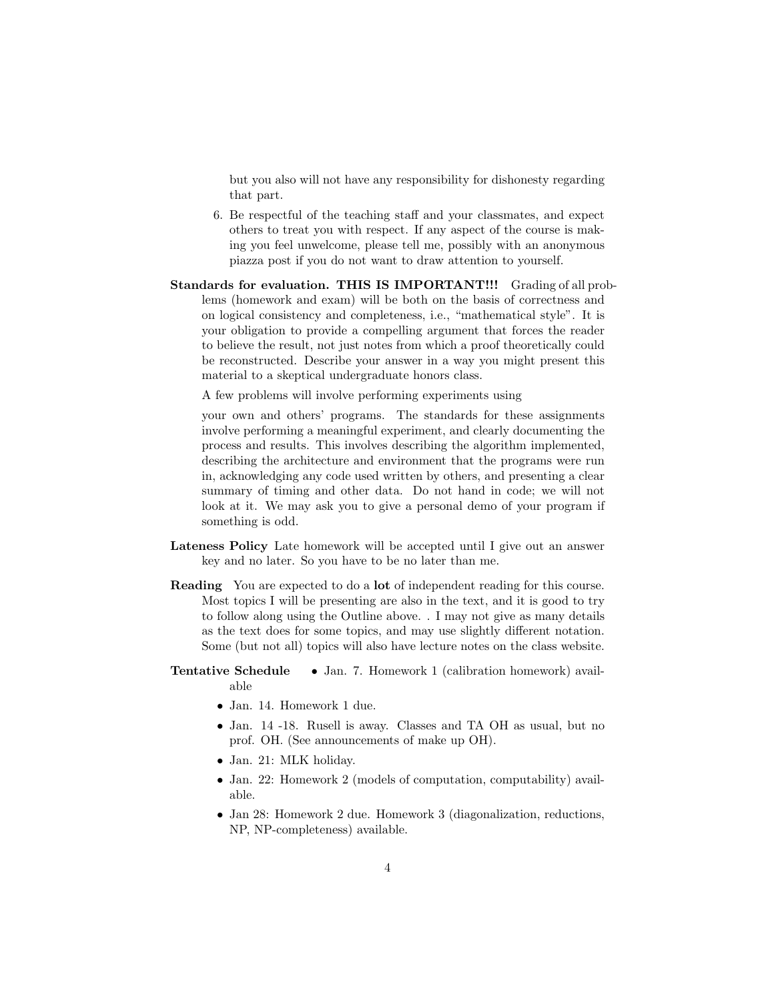but you also will not have any responsibility for dishonesty regarding that part.

- 6. Be respectful of the teaching staff and your classmates, and expect others to treat you with respect. If any aspect of the course is making you feel unwelcome, please tell me, possibly with an anonymous piazza post if you do not want to draw attention to yourself.
- Standards for evaluation. THIS IS IMPORTANT!!! Grading of all problems (homework and exam) will be both on the basis of correctness and on logical consistency and completeness, i.e., "mathematical style". It is your obligation to provide a compelling argument that forces the reader to believe the result, not just notes from which a proof theoretically could be reconstructed. Describe your answer in a way you might present this material to a skeptical undergraduate honors class.

A few problems will involve performing experiments using

your own and others' programs. The standards for these assignments involve performing a meaningful experiment, and clearly documenting the process and results. This involves describing the algorithm implemented, describing the architecture and environment that the programs were run in, acknowledging any code used written by others, and presenting a clear summary of timing and other data. Do not hand in code; we will not look at it. We may ask you to give a personal demo of your program if something is odd.

- Lateness Policy Late homework will be accepted until I give out an answer key and no later. So you have to be no later than me.
- Reading You are expected to do a lot of independent reading for this course. Most topics I will be presenting are also in the text, and it is good to try to follow along using the Outline above. . I may not give as many details as the text does for some topics, and may use slightly different notation. Some (but not all) topics will also have lecture notes on the class website.

## Tentative Schedule • Jan. 7. Homework 1 (calibration homework) available

- Jan. 14. Homework 1 due.
- Jan. 14 -18. Rusell is away. Classes and TA OH as usual, but no prof. OH. (See announcements of make up OH).
- Jan. 21: MLK holiday.
- Jan. 22: Homework 2 (models of computation, computability) available.
- Jan 28: Homework 2 due. Homework 3 (diagonalization, reductions, NP, NP-completeness) available.